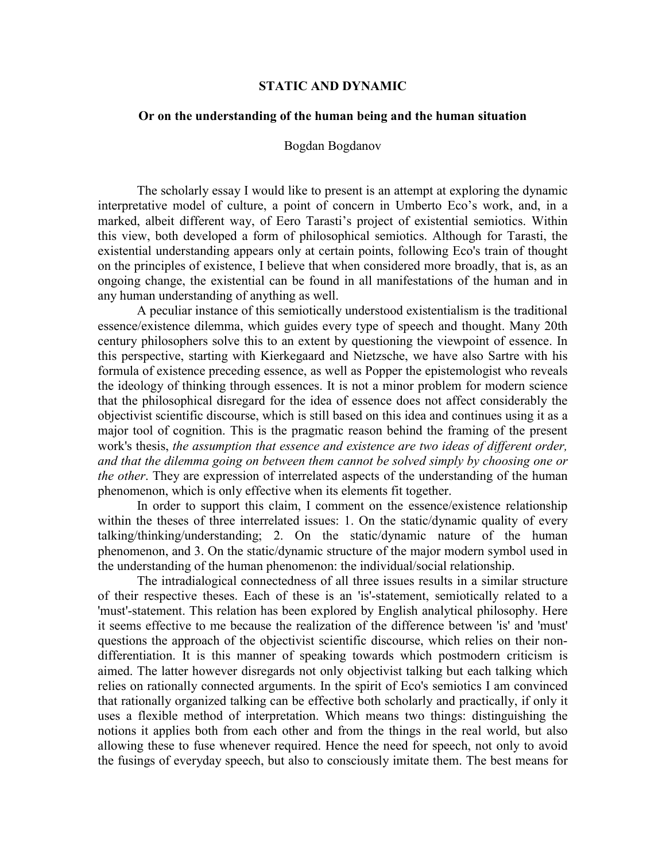## **STATIC AND DYNAMIC**

## **Or on the understanding of the human being and the human situation**

## Bogdan Bogdanov

The scholarly essay I would like to present is an attempt at exploring the dynamic interpretative model of culture, a point of concern in Umberto Eco's work, and, in a marked, albeit different way, of Eero Tarasti's project of existential semiotics. Within this view, both developed a form of philosophical semiotics. Although for Tarasti, the existential understanding appears only at certain points, following Eco's train of thought on the principles of existence, I believe that when considered more broadly, that is, as an ongoing change, the existential can be found in all manifestations of the human and in any human understanding of anything as well.

A peculiar instance of this semiotically understood existentialism is the traditional essence/existence dilemma, which guides every type of speech and thought. Many 20th century philosophers solve this to an extent by questioning the viewpoint of essence. In this perspective, starting with Kierkegaard and Nietzsche, we have also Sartre with his formula of existence preceding essence, as well as Popper the epistemologist who reveals the ideology of thinking through essences. It is not a minor problem for modern science that the philosophical disregard for the idea of essence does not affect considerably the objectivist scientific discourse, which is still based on this idea and continues using it as a major tool of cognition. This is the pragmatic reason behind the framing of the present work's thesis, *the assumption that essence and existence are two ideas of different order, and that the dilemma going on between them cannot be solved simply by choosing one or the other*. They are expression of interrelated aspects of the understanding of the human phenomenon, which is only effective when its elements fit together.

In order to support this claim, I comment on the essence/existence relationship within the theses of three interrelated issues: 1. On the static/dynamic quality of every talking/thinking/understanding; 2. On the static/dynamic nature of the human phenomenon, and 3. On the static/dynamic structure of the major modern symbol used in the understanding of the human phenomenon: the individual/social relationship.

The intradialogical connectedness of all three issues results in a similar structure of their respective theses. Each of these is an 'is'-statement, semiotically related to a 'must'-statement. This relation has been explored by English analytical philosophy. Here it seems effective to me because the realization of the difference between 'is' and 'must' questions the approach of the objectivist scientific discourse, which relies on their nondifferentiation. It is this manner of speaking towards which postmodern criticism is aimed. The latter however disregards not only objectivist talking but each talking which relies on rationally connected arguments. In the spirit of Eco's semiotics I am convinced that rationally organized talking can be effective both scholarly and practically, if only it uses a flexible method of interpretation. Which means two things: distinguishing the notions it applies both from each other and from the things in the real world, but also allowing these to fuse whenever required. Hence the need for speech, not only to avoid the fusings of everyday speech, but also to consciously imitate them. The best means for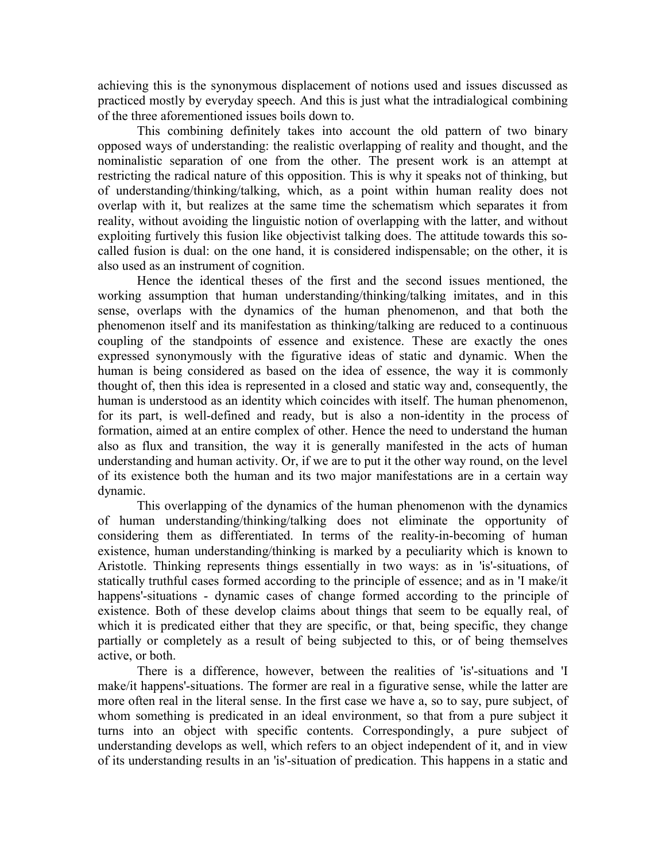achieving this is the synonymous displacement of notions used and issues discussed as practiced mostly by everyday speech. And this is just what the intradialogical combining of the three aforementioned issues boils down to.

This combining definitely takes into account the old pattern of two binary opposed ways of understanding: the realistic overlapping of reality and thought, and the nominalistic separation of one from the other. The present work is an attempt at restricting the radical nature of this opposition. This is why it speaks not of thinking, but of understanding/thinking/talking, which, as a point within human reality does not overlap with it, but realizes at the same time the schematism which separates it from reality, without avoiding the linguistic notion of overlapping with the latter, and without exploiting furtively this fusion like objectivist talking does. The attitude towards this socalled fusion is dual: on the one hand, it is considered indispensable; on the other, it is also used as an instrument of cognition.

Hence the identical theses of the first and the second issues mentioned, the working assumption that human understanding/thinking/talking imitates, and in this sense, overlaps with the dynamics of the human phenomenon, and that both the phenomenon itself and its manifestation as thinking/talking are reduced to a continuous coupling of the standpoints of essence and existence. These are exactly the ones expressed synonymously with the figurative ideas of static and dynamic. When the human is being considered as based on the idea of essence, the way it is commonly thought of, then this idea is represented in a closed and static way and, consequently, the human is understood as an identity which coincides with itself. The human phenomenon, for its part, is well-defined and ready, but is also a non-identity in the process of formation, aimed at an entire complex of other. Hence the need to understand the human also as flux and transition, the way it is generally manifested in the acts of human understanding and human activity. Or, if we are to put it the other way round, on the level of its existence both the human and its two major manifestations are in a certain way dynamic.

This overlapping of the dynamics of the human phenomenon with the dynamics of human understanding/thinking/talking does not eliminate the opportunity of considering them as differentiated. In terms of the reality-in-becoming of human existence, human understanding/thinking is marked by a peculiarity which is known to Aristotle. Thinking represents things essentially in two ways: as in 'is'-situations, of statically truthful cases formed according to the principle of essence; and as in 'I make/it happens'-situations - dynamic cases of change formed according to the principle of existence. Both of these develop claims about things that seem to be equally real, of which it is predicated either that they are specific, or that, being specific, they change partially or completely as a result of being subjected to this, or of being themselves active, or both.

There is a difference, however, between the realities of 'is'-situations and 'I make/it happens'-situations. The former are real in a figurative sense, while the latter are more often real in the literal sense. In the first case we have a, so to say, pure subject, of whom something is predicated in an ideal environment, so that from a pure subject it turns into an object with specific contents. Correspondingly, a pure subject of understanding develops as well, which refers to an object independent of it, and in view of its understanding results in an 'is'-situation of predication. This happens in a static and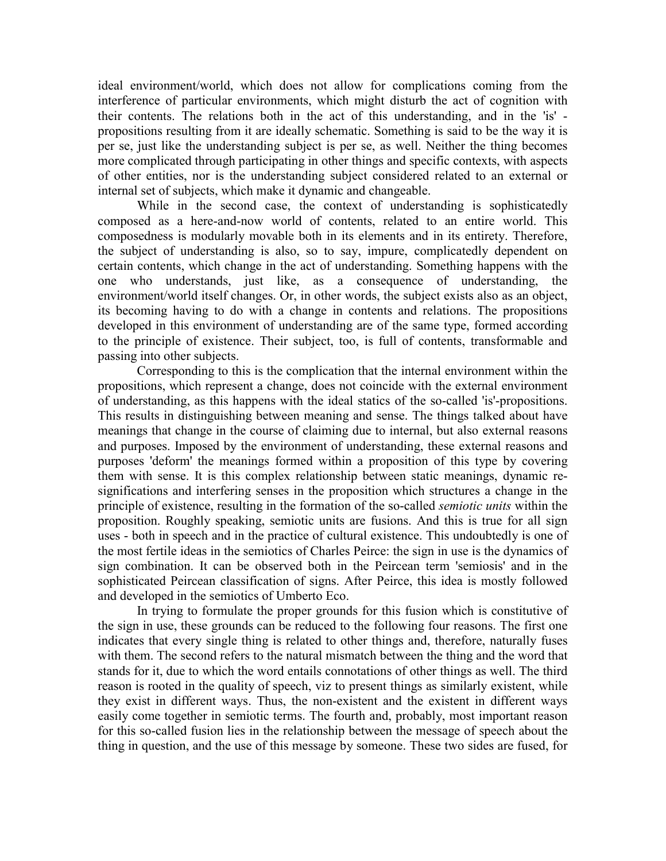ideal environment/world, which does not allow for complications coming from the interference of particular environments, which might disturb the act of cognition with their contents. The relations both in the act of this understanding, and in the 'is' propositions resulting from it are ideally schematic. Something is said to be the way it is per se, just like the understanding subject is per se, as well. Neither the thing becomes more complicated through participating in other things and specific contexts, with aspects of other entities, nor is the understanding subject considered related to an external or internal set of subjects, which make it dynamic and changeable.

While in the second case, the context of understanding is sophisticatedly composed as a here-and-now world of contents, related to an entire world. This composedness is modularly movable both in its elements and in its entirety. Therefore, the subject of understanding is also, so to say, impure, complicatedly dependent on certain contents, which change in the act of understanding. Something happens with the one who understands, just like, as a consequence of understanding, the environment/world itself changes. Or, in other words, the subject exists also as an object, its becoming having to do with a change in contents and relations. The propositions developed in this environment of understanding are of the same type, formed according to the principle of existence. Their subject, too, is full of contents, transformable and passing into other subjects.

Corresponding to this is the complication that the internal environment within the propositions, which represent a change, does not coincide with the external environment of understanding, as this happens with the ideal statics of the so-called 'is'-propositions. This results in distinguishing between meaning and sense. The things talked about have meanings that change in the course of claiming due to internal, but also external reasons and purposes. Imposed by the environment of understanding, these external reasons and purposes 'deform' the meanings formed within a proposition of this type by covering them with sense. It is this complex relationship between static meanings, dynamic resignifications and interfering senses in the proposition which structures a change in the principle of existence, resulting in the formation of the so-called *semiotic units* within the proposition. Roughly speaking, semiotic units are fusions. And this is true for all sign uses - both in speech and in the practice of cultural existence. This undoubtedly is one of the most fertile ideas in the semiotics of Charles Peirce: the sign in use is the dynamics of sign combination. It can be observed both in the Peircean term 'semiosis' and in the sophisticated Peircean classification of signs. After Peirce, this idea is mostly followed and developed in the semiotics of Umberto Eco.

In trying to formulate the proper grounds for this fusion which is constitutive of the sign in use, these grounds can be reduced to the following four reasons. The first one indicates that every single thing is related to other things and, therefore, naturally fuses with them. The second refers to the natural mismatch between the thing and the word that stands for it, due to which the word entails connotations of other things as well. The third reason is rooted in the quality of speech, viz to present things as similarly existent, while they exist in different ways. Thus, the non-existent and the existent in different ways easily come together in semiotic terms. The fourth and, probably, most important reason for this so-called fusion lies in the relationship between the message of speech about the thing in question, and the use of this message by someone. These two sides are fused, for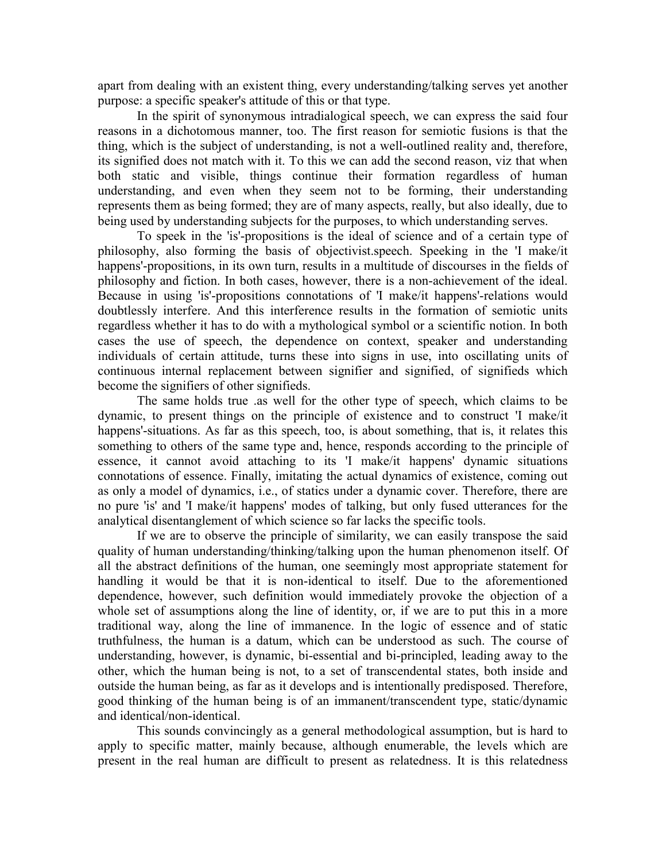apart from dealing with an existent thing, every understanding/talking serves yet another purpose: a specific speaker's attitude of this or that type.

In the spirit of synonymous intradialogical speech, we can express the said four reasons in a dichotomous manner, too. The first reason for semiotic fusions is that the thing, which is the subject of understanding, is not a well-outlined reality and, therefore, its signified does not match with it. To this we can add the second reason, viz that when both static and visible, things continue their formation regardless of human understanding, and even when they seem not to be forming, their understanding represents them as being formed; they are of many aspects, really, but also ideally, due to being used by understanding subjects for the purposes, to which understanding serves.

To speek in the 'is'-propositions is the ideal of science and of a certain type of philosophy, also forming the basis of objectivist.speech. Speeking in the 'I make/it happens'-propositions, in its own turn, results in a multitude of discourses in the fields of philosophy and fiction. In both cases, however, there is a non-achievement of the ideal. Because in using 'is'-propositions connotations of 'I make/it happens'-relations would doubtlessly interfere. And this interference results in the formation of semiotic units regardless whether it has to do with a mythological symbol or a scientific notion. In both cases the use of speech, the dependence on context, speaker and understanding individuals of certain attitude, turns these into signs in use, into oscillating units of continuous internal replacement between signifier and signified, of signifieds which become the signifiers of other signifieds.

The same holds true .as well for the other type of speech, which claims to be dynamic, to present things on the principle of existence and to construct 'I make/it happens'-situations. As far as this speech, too, is about something, that is, it relates this something to others of the same type and, hence, responds according to the principle of essence, it cannot avoid attaching to its 'I make/it happens' dynamic situations connotations of essence. Finally, imitating the actual dynamics of existence, coming out as only a model of dynamics, i.e., of statics under a dynamic cover. Therefore, there are no pure 'is' and 'I make/it happens' modes of talking, but only fused utterances for the analytical disentanglement of which science so far lacks the specific tools.

If we are to observe the principle of similarity, we can easily transpose the said quality of human understanding/thinking/talking upon the human phenomenon itself. Of all the abstract definitions of the human, one seemingly most appropriate statement for handling it would be that it is non-identical to itself. Due to the aforementioned dependence, however, such definition would immediately provoke the objection of a whole set of assumptions along the line of identity, or, if we are to put this in a more traditional way, along the line of immanence. In the logic of essence and of static truthfulness, the human is a datum, which can be understood as such. The course of understanding, however, is dynamic, bi-essential and bi-principled, leading away to the other, which the human being is not, to a set of transcendental states, both inside and outside the human being, as far as it develops and is intentionally predisposed. Therefore, good thinking of the human being is of an immanent/transcendent type, static/dynamic and identical/non-identical.

This sounds convincingly as a general methodological assumption, but is hard to apply to specific matter, mainly because, although enumerable, the levels which are present in the real human are difficult to present as relatedness. It is this relatedness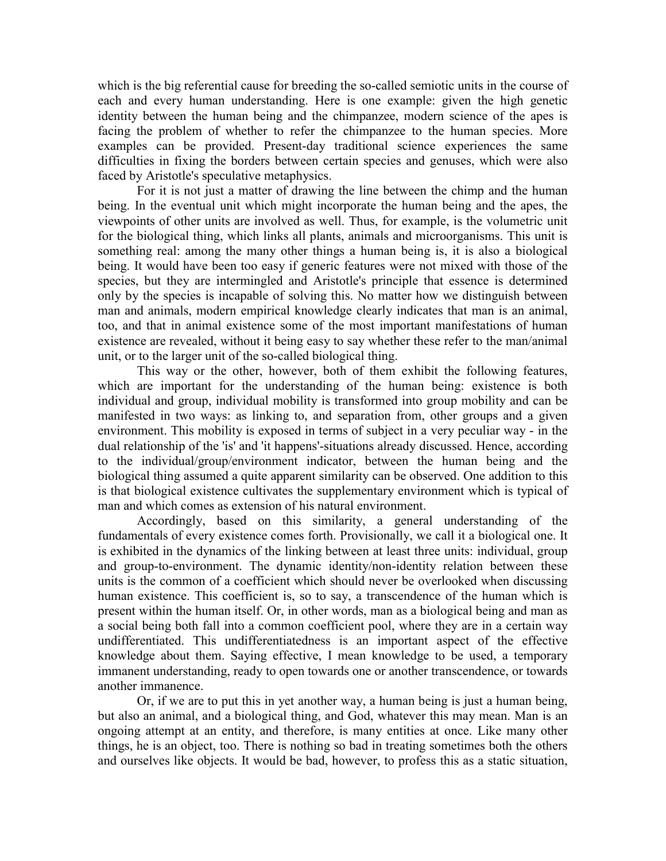which is the big referential cause for breeding the so-called semiotic units in the course of each and every human understanding. Here is one example: given the high genetic identity between the human being and the chimpanzee, modern science of the apes is facing the problem of whether to refer the chimpanzee to the human species. More examples can be provided. Present-day traditional science experiences the same difficulties in fixing the borders between certain species and genuses, which were also faced by Aristotle's speculative metaphysics.

For it is not just a matter of drawing the line between the chimp and the human being. In the eventual unit which might incorporate the human being and the apes, the viewpoints of other units are involved as well. Thus, for example, is the volumetric unit for the biological thing, which links all plants, animals and microorganisms. This unit is something real: among the many other things a human being is, it is also a biological being. It would have been too easy if generic features were not mixed with those of the species, but they are intermingled and Aristotle's principle that essence is determined only by the species is incapable of solving this. No matter how we distinguish between man and animals, modern empirical knowledge clearly indicates that man is an animal, too, and that in animal existence some of the most important manifestations of human existence are revealed, without it being easy to say whether these refer to the man/animal unit, or to the larger unit of the so-called biological thing.

This way or the other, however, both of them exhibit the following features, which are important for the understanding of the human being: existence is both individual and group, individual mobility is transformed into group mobility and can be manifested in two ways: as linking to, and separation from, other groups and a given environment. This mobility is exposed in terms of subject in a very peculiar way - in the dual relationship of the 'is' and 'it happens'-situations already discussed. Hence, according to the individual/group/environment indicator, between the human being and the biological thing assumed a quite apparent similarity can be observed. One addition to this is that biological existence cultivates the supplementary environment which is typical of man and which comes as extension of his natural environment.

Accordingly, based on this similarity, a general understanding of the fundamentals of every existence comes forth. Provisionally, we call it a biological one. It is exhibited in the dynamics of the linking between at least three units: individual, group and group-to-environment. The dynamic identity/non-identity relation between these units is the common of a coefficient which should never be overlooked when discussing human existence. This coefficient is, so to say, a transcendence of the human which is present within the human itself. Or, in other words, man as a biological being and man as a social being both fall into a common coefficient pool, where they are in a certain way undifferentiated. This undifferentiatedness is an important aspect of the effective knowledge about them. Saying effective, I mean knowledge to be used, a temporary immanent understanding, ready to open towards one or another transcendence, or towards another immanence.

Or, if we are to put this in yet another way, a human being is just a human being, but also an animal, and a biological thing, and God, whatever this may mean. Man is an ongoing attempt at an entity, and therefore, is many entities at once. Like many other things, he is an object, too. There is nothing so bad in treating sometimes both the others and ourselves like objects. It would be bad, however, to profess this as a static situation,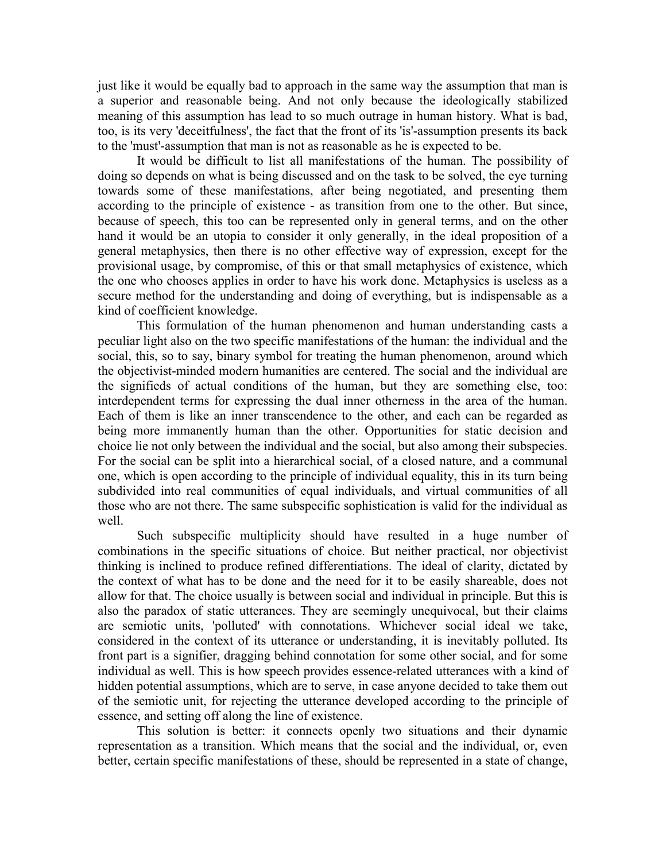just like it would be equally bad to approach in the same way the assumption that man is a superior and reasonable being. And not only because the ideologically stabilized meaning of this assumption has lead to so much outrage in human history. What is bad, too, is its very 'deceitfulness', the fact that the front of its 'is'-assumption presents its back to the 'must'-assumption that man is not as reasonable as he is expected to be.

It would be difficult to list all manifestations of the human. The possibility of doing so depends on what is being discussed and on the task to be solved, the eye turning towards some of these manifestations, after being negotiated, and presenting them according to the principle of existence - as transition from one to the other. But since, because of speech, this too can be represented only in general terms, and on the other hand it would be an utopia to consider it only generally, in the ideal proposition of a general metaphysics, then there is no other effective way of expression, except for the provisional usage, by compromise, of this or that small metaphysics of existence, which the one who chooses applies in order to have his work done. Metaphysics is useless as a secure method for the understanding and doing of everything, but is indispensable as a kind of coefficient knowledge.

This formulation of the human phenomenon and human understanding casts a peculiar light also on the two specific manifestations of the human: the individual and the social, this, so to say, binary symbol for treating the human phenomenon, around which the objectivist-minded modern humanities are centered. The social and the individual are the signifieds of actual conditions of the human, but they are something else, too: interdependent terms for expressing the dual inner otherness in the area of the human. Each of them is like an inner transcendence to the other, and each can be regarded as being more immanently human than the other. Opportunities for static decision and choice lie not only between the individual and the social, but also among their subspecies. For the social can be split into a hierarchical social, of a closed nature, and a communal one, which is open according to the principle of individual equality, this in its turn being subdivided into real communities of equal individuals, and virtual communities of all those who are not there. The same subspecific sophistication is valid for the individual as well.

Such subspecific multiplicity should have resulted in a huge number of combinations in the specific situations of choice. But neither practical, nor objectivist thinking is inclined to produce refined differentiations. The ideal of clarity, dictated by the context of what has to be done and the need for it to be easily shareable, does not allow for that. The choice usually is between social and individual in principle. But this is also the paradox of static utterances. They are seemingly unequivocal, but their claims are semiotic units, 'polluted' with connotations. Whichever social ideal we take, considered in the context of its utterance or understanding, it is inevitably polluted. Its front part is a signifier, dragging behind connotation for some other social, and for some individual as well. This is how speech provides essence-related utterances with a kind of hidden potential assumptions, which are to serve, in case anyone decided to take them out of the semiotic unit, for rejecting the utterance developed according to the principle of essence, and setting off along the line of existence.

This solution is better: it connects openly two situations and their dynamic representation as a transition. Which means that the social and the individual, or, even better, certain specific manifestations of these, should be represented in a state of change,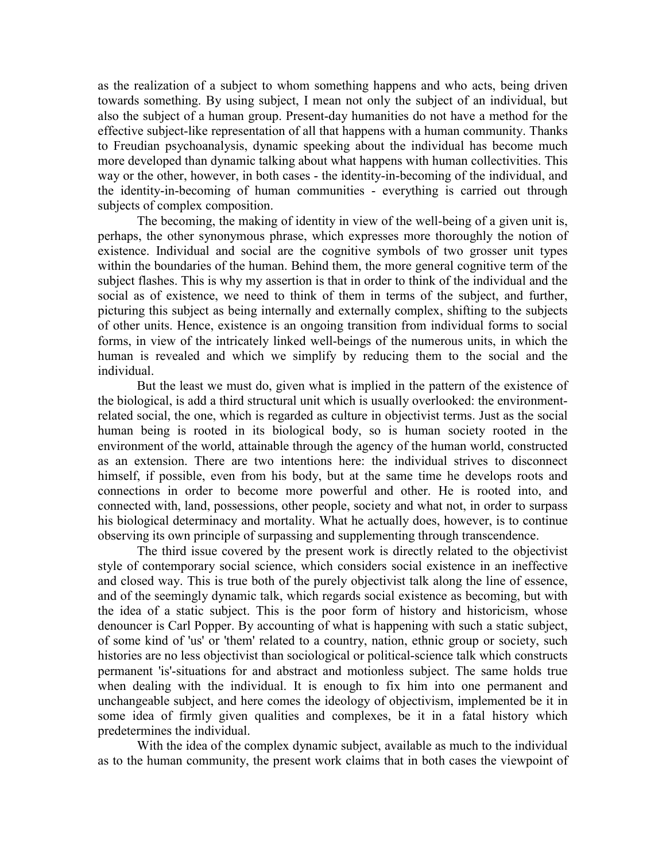as the realization of a subject to whom something happens and who acts, being driven towards something. By using subject, I mean not only the subject of an individual, but also the subject of a human group. Present-day humanities do not have a method for the effective subject-like representation of all that happens with a human community. Thanks to Freudian psychoanalysis, dynamic speeking about the individual has become much more developed than dynamic talking about what happens with human collectivities. This way or the other, however, in both cases - the identity-in-becoming of the individual, and the identity-in-becoming of human communities - everything is carried out through subjects of complex composition.

The becoming, the making of identity in view of the well-being of a given unit is, perhaps, the other synonymous phrase, which expresses more thoroughly the notion of existence. Individual and social are the cognitive symbols of two grosser unit types within the boundaries of the human. Behind them, the more general cognitive term of the subject flashes. This is why my assertion is that in order to think of the individual and the social as of existence, we need to think of them in terms of the subject, and further, picturing this subject as being internally and externally complex, shifting to the subjects of other units. Hence, existence is an ongoing transition from individual forms to social forms, in view of the intricately linked well-beings of the numerous units, in which the human is revealed and which we simplify by reducing them to the social and the individual.

But the least we must do, given what is implied in the pattern of the existence of the biological, is add a third structural unit which is usually overlooked: the environmentrelated social, the one, which is regarded as culture in objectivist terms. Just as the social human being is rooted in its biological body, so is human society rooted in the environment of the world, attainable through the agency of the human world, constructed as an extension. There are two intentions here: the individual strives to disconnect himself, if possible, even from his body, but at the same time he develops roots and connections in order to become more powerful and other. He is rooted into, and connected with, land, possessions, other people, society and what not, in order to surpass his biological determinacy and mortality. What he actually does, however, is to continue observing its own principle of surpassing and supplementing through transcendence.

The third issue covered by the present work is directly related to the objectivist style of contemporary social science, which considers social existence in an ineffective and closed way. This is true both of the purely objectivist talk along the line of essence, and of the seemingly dynamic talk, which regards social existence as becoming, but with the idea of a static subject. This is the poor form of history and historicism, whose denouncer is Carl Popper. By accounting of what is happening with such a static subject, of some kind of 'us' or 'them' related to a country, nation, ethnic group or society, such histories are no less objectivist than sociological or political-science talk which constructs permanent 'is'-situations for and abstract and motionless subject. The same holds true when dealing with the individual. It is enough to fix him into one permanent and unchangeable subject, and here comes the ideology of objectivism, implemented be it in some idea of firmly given qualities and complexes, be it in a fatal history which predetermines the individual.

With the idea of the complex dynamic subject, available as much to the individual as to the human community, the present work claims that in both cases the viewpoint of